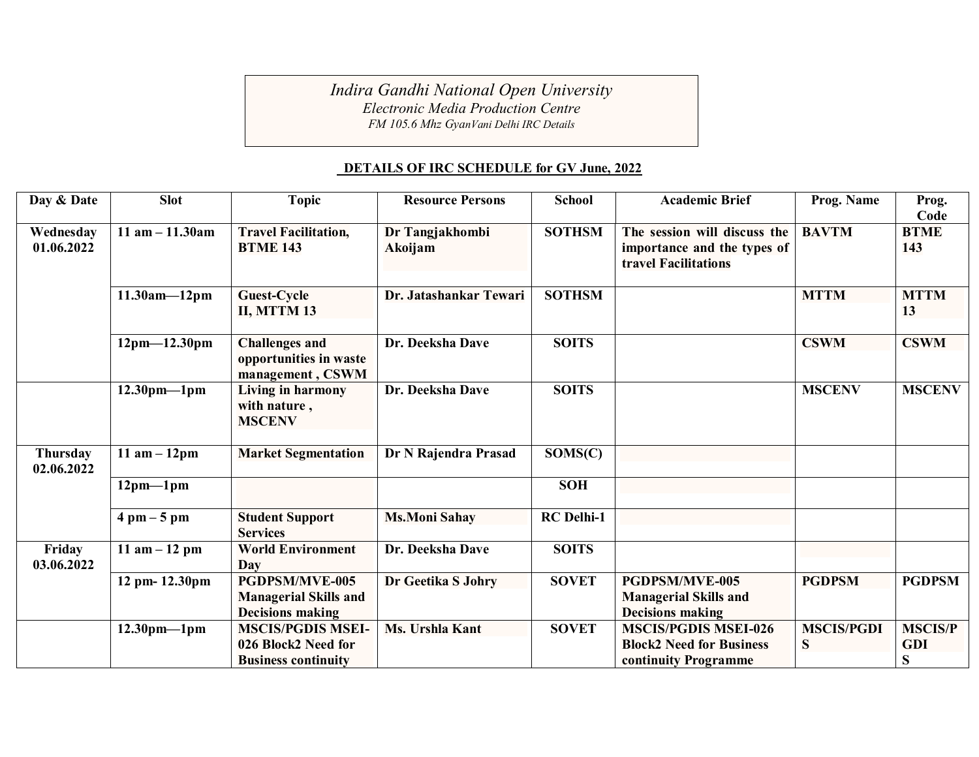*Indira Gandhi National Open University Electronic Media Production Centre*

*FM 105.6 Mhz GyanVani Delhi IRC Details*

## **DETAILS OF IRC SCHEDULE for GV June, 2022**

| Day & Date      | <b>Slot</b>                   | <b>Topic</b>                 | <b>Resource Persons</b> | <b>School</b>     | <b>Academic Brief</b>           | Prog. Name        | Prog.          |
|-----------------|-------------------------------|------------------------------|-------------------------|-------------------|---------------------------------|-------------------|----------------|
|                 |                               |                              |                         |                   |                                 |                   | Code           |
| Wednesday       | $11$ am $- 11.30$ am          | <b>Travel Facilitation,</b>  | Dr Tangjakhombi         | <b>SOTHSM</b>     | The session will discuss the    | <b>BAVTM</b>      | <b>BTME</b>    |
| 01.06.2022      |                               | <b>BTME 143</b>              | Akoijam                 |                   | importance and the types of     |                   | 143            |
|                 |                               |                              |                         |                   | travel Facilitations            |                   |                |
|                 |                               |                              |                         |                   |                                 |                   |                |
|                 | $11.30am - 12pm$              | <b>Guest-Cycle</b>           | Dr. Jatashankar Tewari  | <b>SOTHSM</b>     |                                 | <b>MTTM</b>       | <b>MTTM</b>    |
|                 |                               | II, MTTM 13                  |                         |                   |                                 |                   | 13             |
|                 |                               |                              |                         |                   |                                 |                   |                |
|                 | $12pm-12.30pm$                | <b>Challenges and</b>        | Dr. Deeksha Dave        | <b>SOITS</b>      |                                 | <b>CSWM</b>       | <b>CSWM</b>    |
|                 |                               | opportunities in waste       |                         |                   |                                 |                   |                |
|                 |                               | management, CSWM             |                         |                   |                                 |                   |                |
|                 | $12.30$ pm-1pm                | Living in harmony            | Dr. Deeksha Dave        | <b>SOITS</b>      |                                 | <b>MSCENV</b>     | <b>MSCENV</b>  |
|                 |                               | with nature,                 |                         |                   |                                 |                   |                |
|                 |                               | <b>MSCENV</b>                |                         |                   |                                 |                   |                |
|                 |                               |                              |                         |                   |                                 |                   |                |
| <b>Thursday</b> | $11$ am $-12$ pm              | <b>Market Segmentation</b>   | Dr N Rajendra Prasad    | SOMS(C)           |                                 |                   |                |
| 02.06.2022      |                               |                              |                         |                   |                                 |                   |                |
|                 | $12pm-1pm$                    |                              |                         | <b>SOH</b>        |                                 |                   |                |
|                 |                               |                              |                         |                   |                                 |                   |                |
|                 | $4 \text{ pm} - 5 \text{ pm}$ | <b>Student Support</b>       | <b>Ms.Moni Sahay</b>    | <b>RC</b> Delhi-1 |                                 |                   |                |
|                 |                               | <b>Services</b>              |                         |                   |                                 |                   |                |
| Friday          | 11 $am - 12 pm$               | <b>World Environment</b>     | Dr. Deeksha Dave        | <b>SOITS</b>      |                                 |                   |                |
| 03.06.2022      |                               | Day                          |                         |                   |                                 |                   |                |
|                 | 12 pm- 12.30pm                | <b>PGDPSM/MVE-005</b>        | Dr Geetika S Johry      | <b>SOVET</b>      | <b>PGDPSM/MVE-005</b>           | <b>PGDPSM</b>     | <b>PGDPSM</b>  |
|                 |                               |                              |                         |                   |                                 |                   |                |
|                 |                               | <b>Managerial Skills and</b> |                         |                   | <b>Managerial Skills and</b>    |                   |                |
|                 |                               | <b>Decisions making</b>      |                         |                   | <b>Decisions making</b>         |                   |                |
|                 | $12.30pm - 1pm$               | <b>MSCIS/PGDIS MSEI-</b>     | Ms. Urshla Kant         | <b>SOVET</b>      | <b>MSCIS/PGDIS MSEI-026</b>     | <b>MSCIS/PGDI</b> | <b>MSCIS/P</b> |
|                 |                               | 026 Block2 Need for          |                         |                   | <b>Block2 Need for Business</b> | S                 | <b>GDI</b>     |
|                 |                               | <b>Business continuity</b>   |                         |                   | continuity Programme            |                   | S              |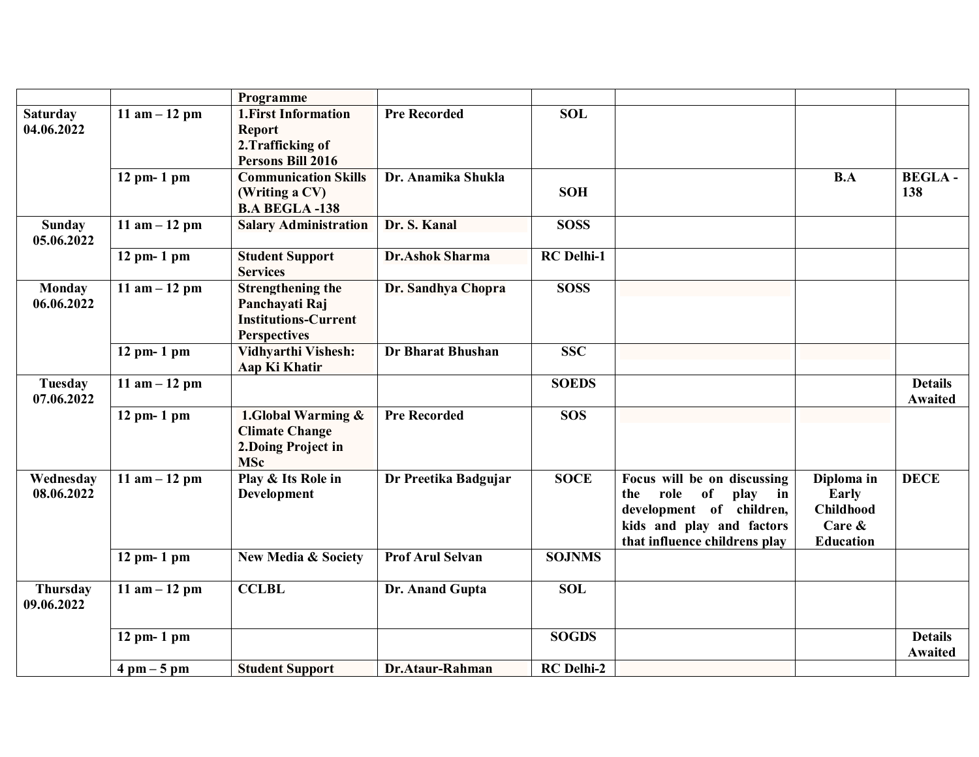|                               |                               | Programme                                                                                        |                          |                   |                                                                                                                                                                  |                                                                       |                                  |
|-------------------------------|-------------------------------|--------------------------------------------------------------------------------------------------|--------------------------|-------------------|------------------------------------------------------------------------------------------------------------------------------------------------------------------|-----------------------------------------------------------------------|----------------------------------|
| <b>Saturday</b><br>04.06.2022 | 11 am $-12$ pm                | 1. First Information<br><b>Report</b><br>2. Trafficking of<br>Persons Bill 2016                  | <b>Pre Recorded</b>      | <b>SOL</b>        |                                                                                                                                                                  |                                                                       |                                  |
|                               | 12 pm- 1 pm                   | <b>Communication Skills</b><br>(Writing a CV)<br><b>B.A BEGLA -138</b>                           | Dr. Anamika Shukla       | <b>SOH</b>        |                                                                                                                                                                  | B.A                                                                   | <b>BEGLA-</b><br>138             |
| <b>Sunday</b><br>05.06.2022   | 11 am $-12$ pm                | <b>Salary Administration</b>                                                                     | Dr. S. Kanal             | <b>SOSS</b>       |                                                                                                                                                                  |                                                                       |                                  |
|                               | $12$ pm- 1 pm                 | <b>Student Support</b><br><b>Services</b>                                                        | <b>Dr.Ashok Sharma</b>   | <b>RC</b> Delhi-1 |                                                                                                                                                                  |                                                                       |                                  |
| <b>Monday</b><br>06.06.2022   | 11 am $-12$ pm                | <b>Strengthening the</b><br>Panchayati Raj<br><b>Institutions-Current</b><br><b>Perspectives</b> | Dr. Sandhya Chopra       | <b>SOSS</b>       |                                                                                                                                                                  |                                                                       |                                  |
|                               | $12$ pm- $1$ pm               | Vidhyarthi Vishesh:<br>Aap Ki Khatir                                                             | <b>Dr Bharat Bhushan</b> | <b>SSC</b>        |                                                                                                                                                                  |                                                                       |                                  |
| <b>Tuesday</b><br>07.06.2022  | 11 am $-12$ pm                |                                                                                                  |                          | <b>SOEDS</b>      |                                                                                                                                                                  |                                                                       | <b>Details</b><br><b>Awaited</b> |
|                               | $12$ pm- $1$ pm               | 1.Global Warming &<br><b>Climate Change</b><br>2.Doing Project in<br><b>MSc</b>                  | <b>Pre Recorded</b>      | <b>SOS</b>        |                                                                                                                                                                  |                                                                       |                                  |
| Wednesday<br>08.06.2022       | 11 am $-12$ pm                | Play & Its Role in<br>Development                                                                | Dr Preetika Badgujar     | <b>SOCE</b>       | Focus will be on discussing<br>role of<br>play<br>$\mathbf{in}$<br>the<br>development of children,<br>kids and play and factors<br>that influence childrens play | Diploma in<br>Early<br><b>Childhood</b><br>Care &<br><b>Education</b> | <b>DECE</b>                      |
|                               | $12$ pm- $1$ pm               | <b>New Media &amp; Society</b>                                                                   | <b>Prof Arul Selvan</b>  | <b>SOJNMS</b>     |                                                                                                                                                                  |                                                                       |                                  |
| <b>Thursday</b><br>09.06.2022 | 11 am $-12$ pm                | <b>CCLBL</b>                                                                                     | Dr. Anand Gupta          | <b>SOL</b>        |                                                                                                                                                                  |                                                                       |                                  |
|                               | 12 pm- 1 pm                   |                                                                                                  |                          | <b>SOGDS</b>      |                                                                                                                                                                  |                                                                       | <b>Details</b><br><b>Awaited</b> |
|                               | $4 \text{ pm} - 5 \text{ pm}$ | <b>Student Support</b>                                                                           | Dr.Ataur-Rahman          | <b>RC</b> Delhi-2 |                                                                                                                                                                  |                                                                       |                                  |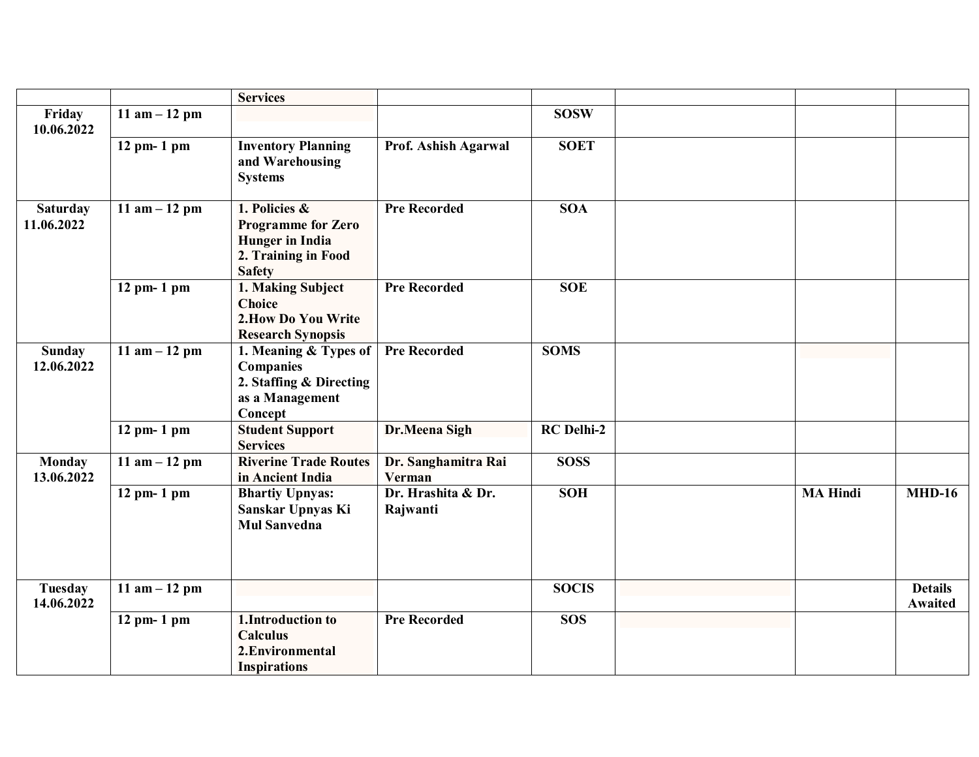|                               |                 | <b>Services</b>                                                                                              |                                |                   |                 |                           |
|-------------------------------|-----------------|--------------------------------------------------------------------------------------------------------------|--------------------------------|-------------------|-----------------|---------------------------|
| Friday<br>10.06.2022          | 11 am $-12$ pm  |                                                                                                              |                                | <b>SOSW</b>       |                 |                           |
|                               | 12 pm- 1 pm     | <b>Inventory Planning</b><br>and Warehousing<br><b>Systems</b>                                               | Prof. Ashish Agarwal           | <b>SOET</b>       |                 |                           |
| <b>Saturday</b><br>11.06.2022 | 11 am $-12$ pm  | 1. Policies &<br><b>Programme for Zero</b><br><b>Hunger</b> in India<br>2. Training in Food<br><b>Safety</b> | <b>Pre Recorded</b>            | <b>SOA</b>        |                 |                           |
|                               | 12 pm- 1 pm     | 1. Making Subject<br><b>Choice</b><br>2. How Do You Write<br><b>Research Synopsis</b>                        | <b>Pre Recorded</b>            | <b>SOE</b>        |                 |                           |
| <b>Sunday</b><br>12.06.2022   | 11 am $-12$ pm  | 1. Meaning & Types of<br>Companies<br>2. Staffing & Directing<br>as a Management<br>Concept                  | <b>Pre Recorded</b>            | <b>SOMS</b>       |                 |                           |
|                               | 12 pm- 1 pm     | <b>Student Support</b><br><b>Services</b>                                                                    | Dr.Meena Sigh                  | <b>RC</b> Delhi-2 |                 |                           |
| <b>Monday</b><br>13.06.2022   | 11 am $-12$ pm  | <b>Riverine Trade Routes</b><br>in Ancient India                                                             | Dr. Sanghamitra Rai<br>Verman  | <b>SOSS</b>       |                 |                           |
|                               | 12 pm- 1 pm     | <b>Bhartiy Upnyas:</b><br>Sanskar Upnyas Ki<br><b>Mul Sanvedna</b>                                           | Dr. Hrashita & Dr.<br>Rajwanti | <b>SOH</b>        | <b>MA Hindi</b> | <b>MHD-16</b>             |
| <b>Tuesday</b><br>14.06.2022  | 11 $am - 12 pm$ |                                                                                                              |                                | <b>SOCIS</b>      |                 | <b>Details</b><br>Awaited |
|                               | 12 pm- 1 pm     | 1. Introduction to<br><b>Calculus</b><br>2. Environmental<br><b>Inspirations</b>                             | <b>Pre Recorded</b>            | <b>SOS</b>        |                 |                           |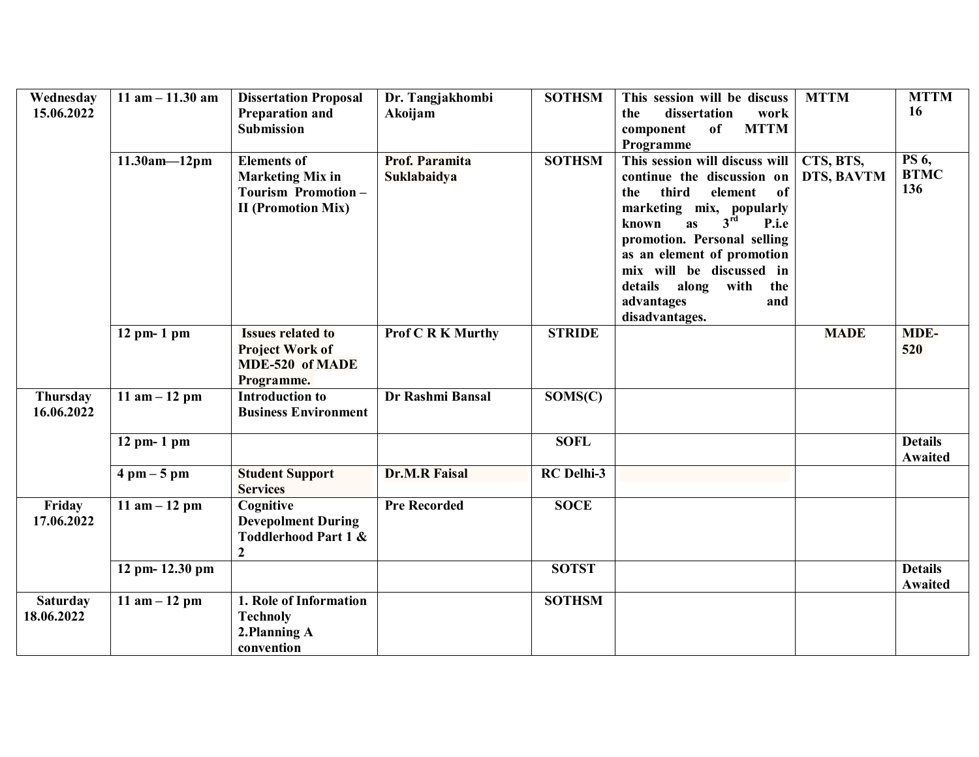| Wednesday       | $11$ am $- 11.30$ am          | <b>Dissertation Proposal</b>    | Dr. Tangjakhombi         | <b>SOTHSM</b>     | This session will be discuss                              | <b>MTTM</b> | <b>MTTM</b>    |
|-----------------|-------------------------------|---------------------------------|--------------------------|-------------------|-----------------------------------------------------------|-------------|----------------|
| 15.06.2022      |                               | Preparation and                 | Akoijam                  |                   | dissertation<br>the<br>work                               |             | 16             |
|                 |                               | Submission                      |                          |                   | <b>MTTM</b><br>of<br>component                            |             |                |
|                 |                               |                                 |                          |                   | Programme                                                 |             |                |
|                 | $11.30am - 12pm$              | <b>Elements of</b>              | Prof. Paramita           | <b>SOTHSM</b>     | This session will discuss will                            | CTS, BTS,   | <b>PS</b> 6,   |
|                 |                               | <b>Marketing Mix in</b>         | Suklabaidya              |                   | continue the discussion on                                | DTS, BAVTM  | <b>BTMC</b>    |
|                 |                               | Tourism Promotion-              |                          |                   | third<br>of<br>element<br>the                             |             | 136            |
|                 |                               | <b>II</b> (Promotion Mix)       |                          |                   | marketing mix, popularly<br>$3^{\rm rd}$                  |             |                |
|                 |                               |                                 |                          |                   | as<br>P.i.e<br>known                                      |             |                |
|                 |                               |                                 |                          |                   | promotion. Personal selling<br>as an element of promotion |             |                |
|                 |                               |                                 |                          |                   | mix will be discussed in                                  |             |                |
|                 |                               |                                 |                          |                   | details<br>along<br>with<br>the                           |             |                |
|                 |                               |                                 |                          |                   | advantages<br>and                                         |             |                |
|                 |                               |                                 |                          |                   | disadvantages.                                            |             |                |
|                 | $12$ pm- 1 pm                 | <b>Issues related to</b>        | <b>Prof C R K Murthy</b> | <b>STRIDE</b>     |                                                           | <b>MADE</b> | MDE-           |
|                 |                               | <b>Project Work of</b>          |                          |                   |                                                           |             | 520            |
|                 |                               | MDE-520 of MADE                 |                          |                   |                                                           |             |                |
|                 |                               | Programme.                      |                          |                   |                                                           |             |                |
| <b>Thursday</b> | 11 am $-12$ pm                | <b>Introduction to</b>          | Dr Rashmi Bansal         | SOMS(C)           |                                                           |             |                |
| 16.06.2022      |                               | <b>Business Environment</b>     |                          |                   |                                                           |             |                |
|                 | $12$ pm- $1$ pm               |                                 |                          | <b>SOFL</b>       |                                                           |             | <b>Details</b> |
|                 |                               |                                 |                          |                   |                                                           |             | Awaited        |
|                 | $4 \text{ pm} - 5 \text{ pm}$ | <b>Student Support</b>          | <b>Dr.M.R Faisal</b>     | <b>RC</b> Delhi-3 |                                                           |             |                |
|                 |                               | <b>Services</b>                 |                          |                   |                                                           |             |                |
| Friday          | 11 am $-12$ pm                | Cognitive                       | <b>Pre Recorded</b>      | <b>SOCE</b>       |                                                           |             |                |
| 17.06.2022      |                               | <b>Devepolment During</b>       |                          |                   |                                                           |             |                |
|                 |                               | <b>Toddlerhood Part 1 &amp;</b> |                          |                   |                                                           |             |                |
|                 | 12 pm- 12.30 pm               | $\boldsymbol{2}$                |                          | <b>SOTST</b>      |                                                           |             | <b>Details</b> |
|                 |                               |                                 |                          |                   |                                                           |             | <b>Awaited</b> |
| <b>Saturday</b> | 11 $am - 12 pm$               | 1. Role of Information          |                          | <b>SOTHSM</b>     |                                                           |             |                |
| 18.06.2022      |                               | <b>Technoly</b>                 |                          |                   |                                                           |             |                |
|                 |                               | 2.Planning A                    |                          |                   |                                                           |             |                |
|                 |                               | convention                      |                          |                   |                                                           |             |                |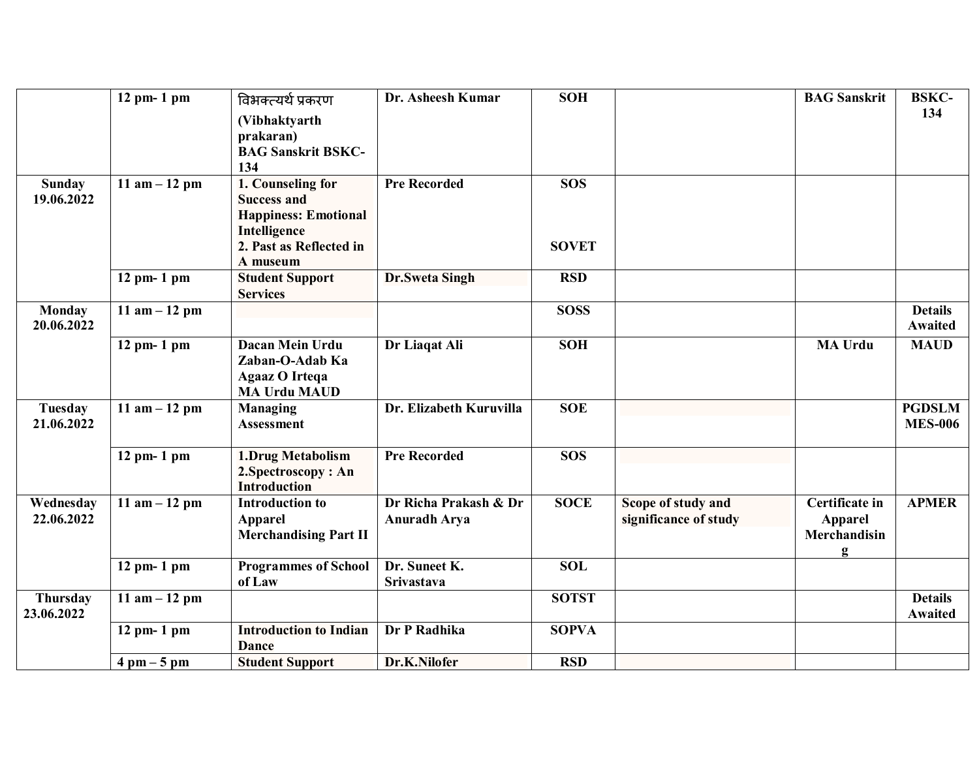|                               | 12 pm- 1 pm                   | विभक्त्यर्थ प्रकरण                                                                                                            | Dr. Asheesh Kumar                            | <b>SOH</b>                 |                                             | <b>BAG</b> Sanskrit                                   | <b>BSKC-</b>                     |
|-------------------------------|-------------------------------|-------------------------------------------------------------------------------------------------------------------------------|----------------------------------------------|----------------------------|---------------------------------------------|-------------------------------------------------------|----------------------------------|
|                               |                               | (Vibhaktyarth<br>prakaran)<br><b>BAG Sanskrit BSKC-</b><br>134                                                                |                                              |                            |                                             |                                                       | 134                              |
| <b>Sunday</b><br>19.06.2022   | 11 $am - 12 pm$               | 1. Counseling for<br><b>Success and</b><br><b>Happiness: Emotional</b><br>Intelligence<br>2. Past as Reflected in<br>A museum | <b>Pre Recorded</b>                          | <b>SOS</b><br><b>SOVET</b> |                                             |                                                       |                                  |
|                               | $12$ pm- 1 pm                 | <b>Student Support</b><br><b>Services</b>                                                                                     | Dr.Sweta Singh                               | <b>RSD</b>                 |                                             |                                                       |                                  |
| <b>Monday</b><br>20.06.2022   | $11$ am $-12$ pm              |                                                                                                                               |                                              | <b>SOSS</b>                |                                             |                                                       | <b>Details</b><br><b>Awaited</b> |
|                               | 12 pm- 1 pm                   | Dacan Mein Urdu<br>Zaban-O-Adab Ka<br><b>Agaaz O Irtega</b><br><b>MA Urdu MAUD</b>                                            | Dr Liaqat Ali                                | <b>SOH</b>                 |                                             | <b>MA Urdu</b>                                        | <b>MAUD</b>                      |
| <b>Tuesday</b><br>21.06.2022  | 11 am $-12$ pm                | <b>Managing</b><br><b>Assessment</b>                                                                                          | Dr. Elizabeth Kuruvilla                      | <b>SOE</b>                 |                                             |                                                       | <b>PGDSLM</b><br><b>MES-006</b>  |
|                               | $12$ pm- 1 pm                 | 1.Drug Metabolism<br>2. Spectroscopy: An<br><b>Introduction</b>                                                               | <b>Pre Recorded</b>                          | <b>SOS</b>                 |                                             |                                                       |                                  |
| Wednesday<br>22.06.2022       | 11 am $-12$ pm                | <b>Introduction to</b><br><b>Apparel</b><br><b>Merchandising Part II</b>                                                      | Dr Richa Prakash & Dr<br><b>Anuradh Arya</b> | <b>SOCE</b>                | Scope of study and<br>significance of study | Certificate in<br><b>Apparel</b><br>Merchandisin<br>g | <b>APMER</b>                     |
|                               | $12$ pm- $1$ pm               | <b>Programmes of School</b><br>of Law                                                                                         | Dr. Suneet K.<br>Srivastava                  | <b>SOL</b>                 |                                             |                                                       |                                  |
| <b>Thursday</b><br>23.06.2022 | 11 $am - 12 pm$               |                                                                                                                               |                                              | <b>SOTST</b>               |                                             |                                                       | <b>Details</b><br><b>Awaited</b> |
|                               | 12 pm- 1 pm                   | <b>Introduction to Indian</b><br><b>Dance</b>                                                                                 | Dr P Radhika                                 | <b>SOPVA</b>               |                                             |                                                       |                                  |
|                               | $4 \text{ pm} - 5 \text{ pm}$ | <b>Student Support</b>                                                                                                        | Dr.K.Nilofer                                 | <b>RSD</b>                 |                                             |                                                       |                                  |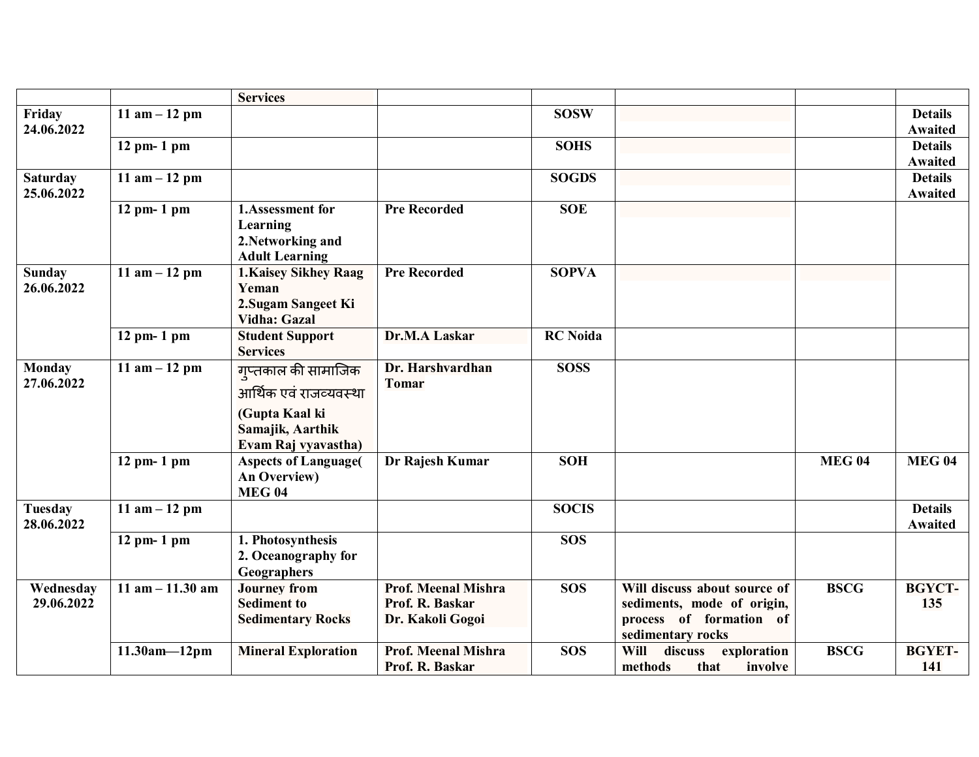|                               |                               | <b>Services</b>                                                            |                                                                   |                 |                                                                                                            |               |                                  |
|-------------------------------|-------------------------------|----------------------------------------------------------------------------|-------------------------------------------------------------------|-----------------|------------------------------------------------------------------------------------------------------------|---------------|----------------------------------|
| Friday<br>24.06.2022          | 11 $am - 12 pm$               |                                                                            |                                                                   | <b>SOSW</b>     |                                                                                                            |               | <b>Details</b><br><b>Awaited</b> |
|                               | $12$ pm- 1 pm                 |                                                                            |                                                                   | <b>SOHS</b>     |                                                                                                            |               | <b>Details</b><br><b>Awaited</b> |
| <b>Saturday</b><br>25.06.2022 | 11 $am - 12 pm$               |                                                                            |                                                                   | <b>SOGDS</b>    |                                                                                                            |               | <b>Details</b><br><b>Awaited</b> |
|                               | $12$ pm- $1$ pm               | 1.Assessment for<br>Learning<br>2. Networking and<br><b>Adult Learning</b> | <b>Pre Recorded</b>                                               | <b>SOE</b>      |                                                                                                            |               |                                  |
| <b>Sunday</b><br>26.06.2022   | 11 $am - 12 pm$               | 1. Kaisey Sikhey Raag<br>Yeman<br>2. Sugam Sangeet Ki<br>Vidha: Gazal      | <b>Pre Recorded</b>                                               | <b>SOPVA</b>    |                                                                                                            |               |                                  |
|                               | $12$ pm- 1 pm                 | <b>Student Support</b><br><b>Services</b>                                  | Dr.M.A Laskar                                                     | <b>RC</b> Noida |                                                                                                            |               |                                  |
| <b>Monday</b><br>27.06.2022   | 11 am $-12$ pm                | ग्प्तकाल की सामाजिक<br>आर्थिक एवं राजव्यवस्था<br>(Gupta Kaal ki            | Dr. Harshvardhan<br><b>Tomar</b>                                  | <b>SOSS</b>     |                                                                                                            |               |                                  |
|                               |                               | Samajik, Aarthik<br>Evam Raj vyavastha)                                    |                                                                   |                 |                                                                                                            |               |                                  |
|                               | 12 pm- 1 pm                   | <b>Aspects of Language(</b><br>An Overview)<br><b>MEG 04</b>               | Dr Rajesh Kumar                                                   | <b>SOH</b>      |                                                                                                            | <b>MEG 04</b> | <b>MEG 04</b>                    |
| <b>Tuesday</b><br>28.06.2022  | 11 $am - 12 pm$               |                                                                            |                                                                   | <b>SOCIS</b>    |                                                                                                            |               | <b>Details</b><br><b>Awaited</b> |
|                               | $12$ pm- 1 pm                 | 1. Photosynthesis<br>2. Oceanography for<br>Geographers                    |                                                                   | <b>SOS</b>      |                                                                                                            |               |                                  |
| Wednesday<br>29.06.2022       | $\overline{11}$ am - 11.30 am | <b>Journey from</b><br><b>Sediment to</b><br><b>Sedimentary Rocks</b>      | <b>Prof. Meenal Mishra</b><br>Prof. R. Baskar<br>Dr. Kakoli Gogoi | <b>SOS</b>      | Will discuss about source of<br>sediments, mode of origin,<br>process of formation of<br>sedimentary rocks | <b>BSCG</b>   | <b>BGYCT-</b><br>135             |
|                               | $11.30am - 12pm$              | <b>Mineral Exploration</b>                                                 | Prof. Meenal Mishra<br>Prof. R. Baskar                            | <b>SOS</b>      | Will<br>discuss<br>exploration<br>methods<br>that<br>involve                                               | <b>BSCG</b>   | <b>BGYET-</b><br>141             |